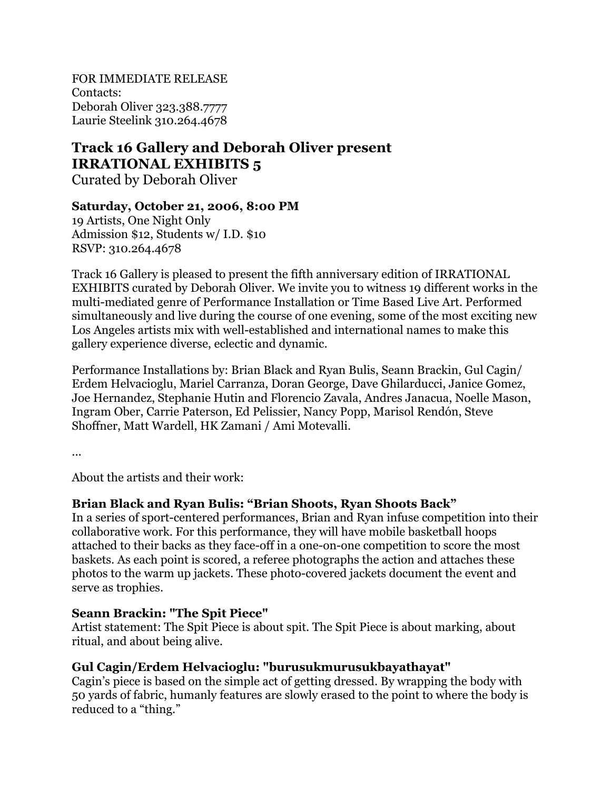FOR IMMEDIATE RELEASE Contacts: Deborah Oliver 323.388.7777 Laurie Steelink 310.264.4678

# **Track 16 Gallery and Deborah Oliver present IRRATIONAL EXHIBITS 5**

Curated by Deborah Oliver

#### **Saturday, October 21, 2006, 8:00 PM**

19 Artists, One Night Only Admission \$12, Students w/ I.D. \$10 RSVP: 310.264.4678

Track 16 Gallery is pleased to present the fifth anniversary edition of IRRATIONAL EXHIBITS curated by Deborah Oliver. We invite you to witness 19 different works in the multi-mediated genre of Performance Installation or Time Based Live Art. Performed simultaneously and live during the course of one evening, some of the most exciting new Los Angeles artists mix with well-established and international names to make this gallery experience diverse, eclectic and dynamic.

Performance Installations by: Brian Black and Ryan Bulis, Seann Brackin, Gul Cagin/ Erdem Helvacioglu, Mariel Carranza, Doran George, Dave Ghilarducci, Janice Gomez, Joe Hernandez, Stephanie Hutin and Florencio Zavala, Andres Janacua, Noelle Mason, Ingram Ober, Carrie Paterson, Ed Pelissier, Nancy Popp, Marisol Rendón, Steve Shoffner, Matt Wardell, HK Zamani / Ami Motevalli.

...

About the artists and their work:

#### **Brian Black and Ryan Bulis: "Brian Shoots, Ryan Shoots Back"**

In a series of sport-centered performances, Brian and Ryan infuse competition into their collaborative work. For this performance, they will have mobile basketball hoops attached to their backs as they face-off in a one-on-one competition to score the most baskets. As each point is scored, a referee photographs the action and attaches these photos to the warm up jackets. These photo-covered jackets document the event and serve as trophies.

#### **Seann Brackin: "The Spit Piece"**

Artist statement: The Spit Piece is about spit. The Spit Piece is about marking, about ritual, and about being alive.

#### **Gul Cagin/Erdem Helvacioglu: "burusukmurusukbayathayat"**

Cagin's piece is based on the simple act of getting dressed. By wrapping the body with 50 yards of fabric, humanly features are slowly erased to the point to where the body is reduced to a "thing."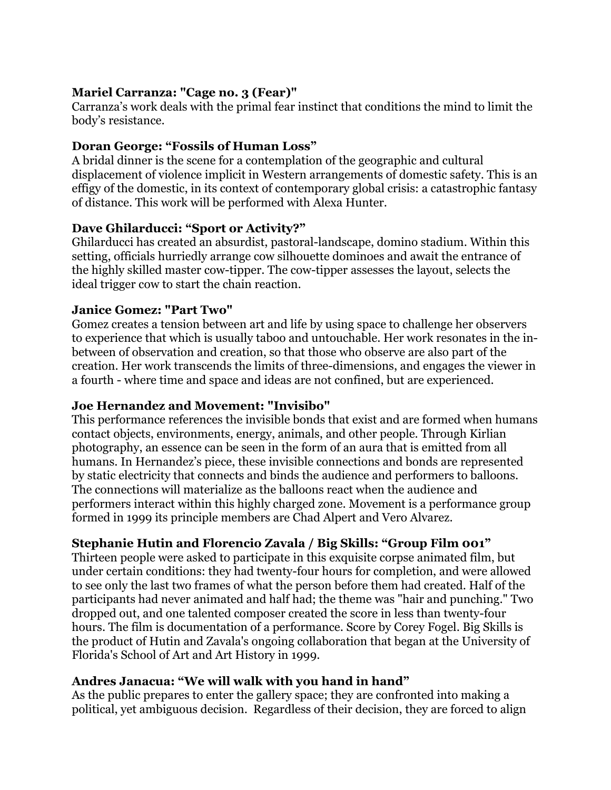## **Mariel Carranza: "Cage no. 3 (Fear)"**

Carranza's work deals with the primal fear instinct that conditions the mind to limit the body's resistance.

## **Doran George: "Fossils of Human Loss"**

A bridal dinner is the scene for a contemplation of the geographic and cultural displacement of violence implicit in Western arrangements of domestic safety. This is an effigy of the domestic, in its context of contemporary global crisis: a catastrophic fantasy of distance. This work will be performed with Alexa Hunter.

#### **Dave Ghilarducci: "Sport or Activity?"**

Ghilarducci has created an absurdist, pastoral-landscape, domino stadium. Within this setting, officials hurriedly arrange cow silhouette dominoes and await the entrance of the highly skilled master cow-tipper. The cow-tipper assesses the layout, selects the ideal trigger cow to start the chain reaction.

#### **Janice Gomez: "Part Two"**

Gomez creates a tension between art and life by using space to challenge her observers to experience that which is usually taboo and untouchable. Her work resonates in the inbetween of observation and creation, so that those who observe are also part of the creation. Her work transcends the limits of three-dimensions, and engages the viewer in a fourth - where time and space and ideas are not confined, but are experienced.

#### **Joe Hernandez and Movement: "Invisibo"**

This performance references the invisible bonds that exist and are formed when humans contact objects, environments, energy, animals, and other people. Through Kirlian photography, an essence can be seen in the form of an aura that is emitted from all humans. In Hernandez's piece, these invisible connections and bonds are represented by static electricity that connects and binds the audience and performers to balloons. The connections will materialize as the balloons react when the audience and performers interact within this highly charged zone. Movement is a performance group formed in 1999 its principle members are Chad Alpert and Vero Alvarez.

# **Stephanie Hutin and Florencio Zavala / Big Skills: "Group Film 001"**

Thirteen people were asked to participate in this exquisite corpse animated film, but under certain conditions: they had twenty-four hours for completion, and were allowed to see only the last two frames of what the person before them had created. Half of the participants had never animated and half had; the theme was "hair and punching." Two dropped out, and one talented composer created the score in less than twenty-four hours. The film is documentation of a performance. Score by Corey Fogel. Big Skills is the product of Hutin and Zavala's ongoing collaboration that began at the University of Florida's School of Art and Art History in 1999.

#### **Andres Janacua: "We will walk with you hand in hand"**

As the public prepares to enter the gallery space; they are confronted into making a political, yet ambiguous decision. Regardless of their decision, they are forced to align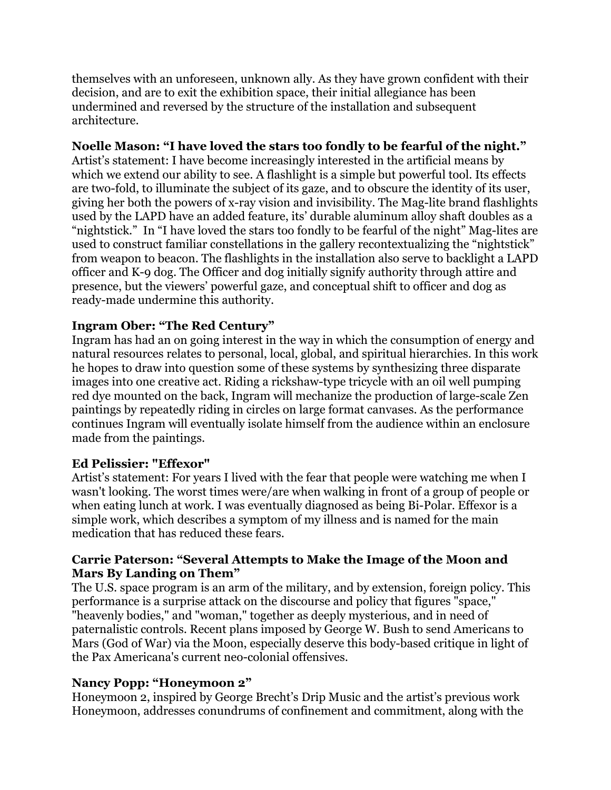themselves with an unforeseen, unknown ally. As they have grown confident with their decision, and are to exit the exhibition space, their initial allegiance has been undermined and reversed by the structure of the installation and subsequent architecture.

## **Noelle Mason: "I have loved the stars too fondly to be fearful of the night."**

Artist's statement: I have become increasingly interested in the artificial means by which we extend our ability to see. A flashlight is a simple but powerful tool. Its effects are two-fold, to illuminate the subject of its gaze, and to obscure the identity of its user, giving her both the powers of x-ray vision and invisibility. The Mag-lite brand flashlights used by the LAPD have an added feature, its' durable aluminum alloy shaft doubles as a "nightstick." In "I have loved the stars too fondly to be fearful of the night" Mag-lites are used to construct familiar constellations in the gallery recontextualizing the "nightstick" from weapon to beacon. The flashlights in the installation also serve to backlight a LAPD officer and K-9 dog. The Officer and dog initially signify authority through attire and presence, but the viewers' powerful gaze, and conceptual shift to officer and dog as ready-made undermine this authority.

## **Ingram Ober: "The Red Century"**

Ingram has had an on going interest in the way in which the consumption of energy and natural resources relates to personal, local, global, and spiritual hierarchies. In this work he hopes to draw into question some of these systems by synthesizing three disparate images into one creative act. Riding a rickshaw-type tricycle with an oil well pumping red dye mounted on the back, Ingram will mechanize the production of large-scale Zen paintings by repeatedly riding in circles on large format canvases. As the performance continues Ingram will eventually isolate himself from the audience within an enclosure made from the paintings.

#### **Ed Pelissier: "Effexor"**

Artist's statement: For years I lived with the fear that people were watching me when I wasn't looking. The worst times were/are when walking in front of a group of people or when eating lunch at work. I was eventually diagnosed as being Bi-Polar. Effexor is a simple work, which describes a symptom of my illness and is named for the main medication that has reduced these fears.

#### **Carrie Paterson: "Several Attempts to Make the Image of the Moon and Mars By Landing on Them"**

The U.S. space program is an arm of the military, and by extension, foreign policy. This performance is a surprise attack on the discourse and policy that figures "space," "heavenly bodies," and "woman," together as deeply mysterious, and in need of paternalistic controls. Recent plans imposed by George W. Bush to send Americans to Mars (God of War) via the Moon, especially deserve this body-based critique in light of the Pax Americana's current neo-colonial offensives.

#### **Nancy Popp: "Honeymoon 2"**

Honeymoon 2, inspired by George Brecht's Drip Music and the artist's previous work Honeymoon, addresses conundrums of confinement and commitment, along with the